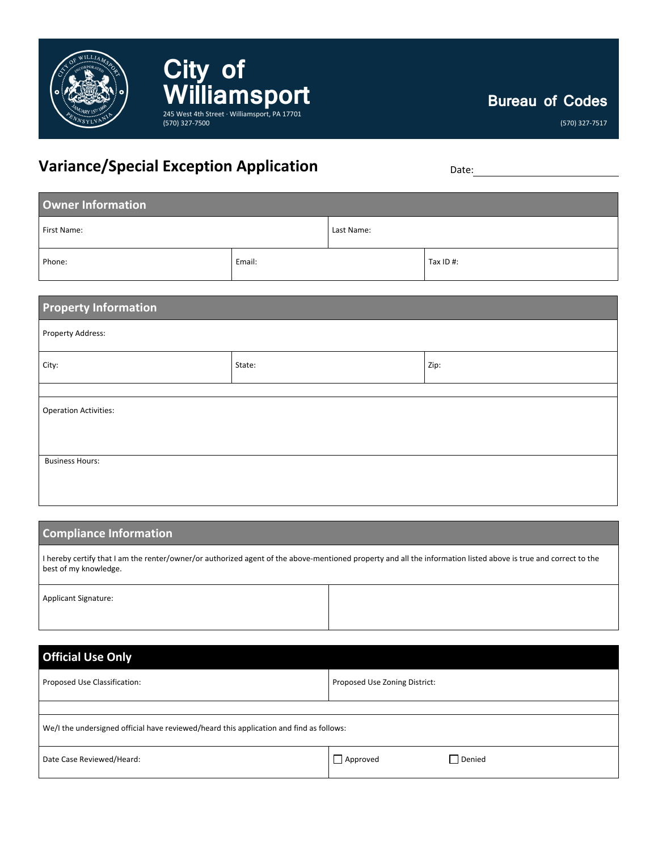

**Bureau of Codes**

(570) 327-7517

# **Variance/Special Exception Application** Date: Date:

(570) 327-7500

**City of** 

WilliamSport

| Owner Information |        |            |           |  |  |
|-------------------|--------|------------|-----------|--|--|
| First Name:       |        | Last Name: |           |  |  |
| Phone:            | Email: |            | Tax ID #: |  |  |

| <b>Property Information</b><br>Property Address: |  |  |  |  |
|--------------------------------------------------|--|--|--|--|
|                                                  |  |  |  |  |
|                                                  |  |  |  |  |
| <b>Operation Activities:</b>                     |  |  |  |  |
|                                                  |  |  |  |  |
|                                                  |  |  |  |  |
| <b>Business Hours:</b>                           |  |  |  |  |
|                                                  |  |  |  |  |

#### **Compliance Information**

I hereby certify that I am the renter/owner/or authorized agent of the above-mentioned property and all the information listed above is true and correct to the best of my knowledge.

Applicant Signature:

| <b>Official Use Only</b>                                                                |                               |  |  |  |  |
|-----------------------------------------------------------------------------------------|-------------------------------|--|--|--|--|
| Proposed Use Classification:                                                            | Proposed Use Zoning District: |  |  |  |  |
|                                                                                         |                               |  |  |  |  |
| We/I the undersigned official have reviewed/heard this application and find as follows: |                               |  |  |  |  |
| Date Case Reviewed/Heard:                                                               | Denied<br>$\Box$ Approved     |  |  |  |  |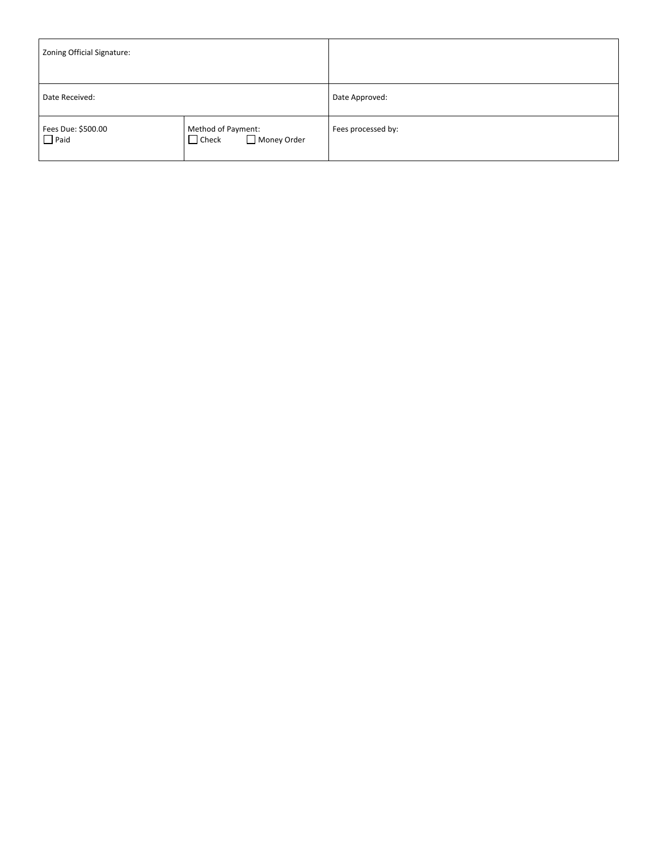| Zoning Official Signature:        |                                                   |                    |
|-----------------------------------|---------------------------------------------------|--------------------|
| Date Received:                    |                                                   | Date Approved:     |
| Fees Due: \$500.00<br>$\Box$ Paid | Method of Payment:<br>Money Order<br>$\Box$ Check | Fees processed by: |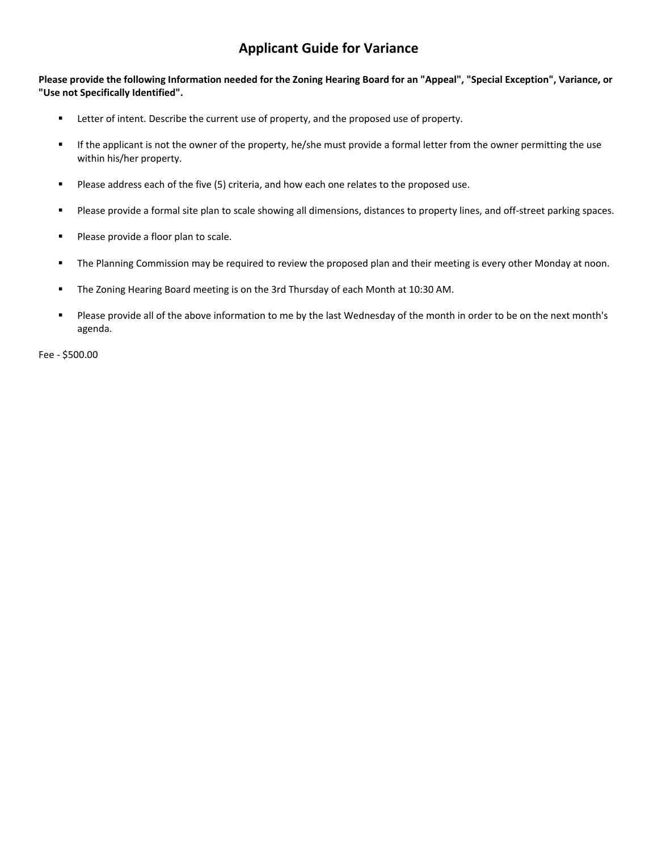### **Applicant Guide for Variance**

**Please provide the following Information needed for the Zoning Hearing Board for an "Appeal", "Special Exception", Variance, or "Use not Specifically Identified".**

- **EXECTER 1** Letter of intent. Describe the current use of property, and the proposed use of property.
- If the applicant is not the owner of the property, he/she must provide a formal letter from the owner permitting the use within his/her property.
- Please address each of the five (5) criteria, and how each one relates to the proposed use.
- **Please provide a formal site plan to scale showing all dimensions, distances to property lines, and off-street parking spaces.**
- **Please provide a floor plan to scale.**
- **The Planning Commission may be required to review the proposed plan and their meeting is every other Monday at noon.**
- The Zoning Hearing Board meeting is on the 3rd Thursday of each Month at 10:30 AM.
- Please provide all of the above information to me by the last Wednesday of the month in order to be on the next month's agenda.

Fee - \$500.00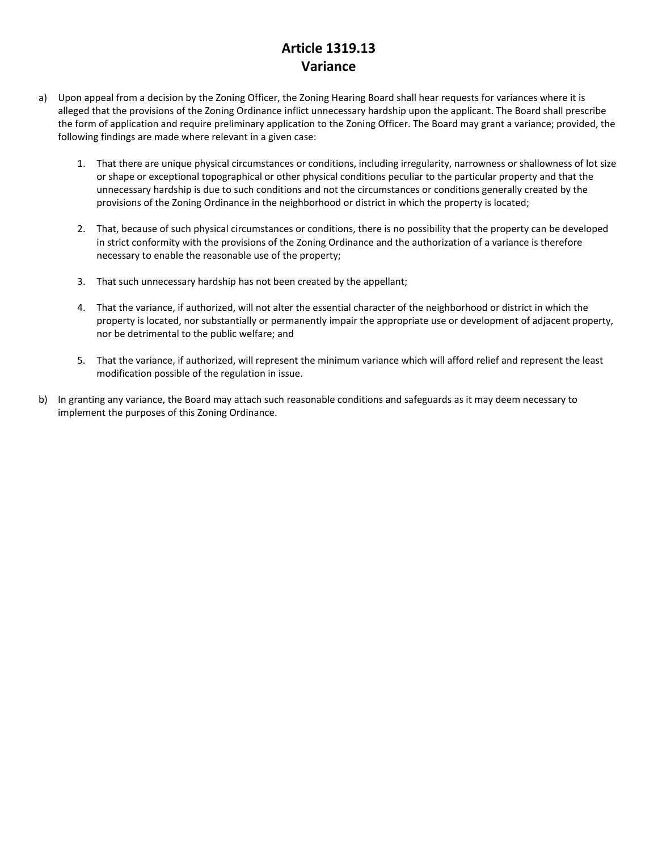## **Article 1319.13 Variance**

- a) Upon appeal from a decision by the Zoning Officer, the Zoning Hearing Board shall hear requests for variances where it is alleged that the provisions of the Zoning Ordinance inflict unnecessary hardship upon the applicant. The Board shall prescribe the form of application and require preliminary application to the Zoning Officer. The Board may grant a variance; provided, the following findings are made where relevant in a given case:
	- 1. That there are unique physical circumstances or conditions, including irregularity, narrowness or shallowness of lot size or shape or exceptional topographical or other physical conditions peculiar to the particular property and that the unnecessary hardship is due to such conditions and not the circumstances or conditions generally created by the provisions of the Zoning Ordinance in the neighborhood or district in which the property is located;
	- 2. That, because of such physical circumstances or conditions, there is no possibility that the property can be developed in strict conformity with the provisions of the Zoning Ordinance and the authorization of a variance is therefore necessary to enable the reasonable use of the property;
	- 3. That such unnecessary hardship has not been created by the appellant;
	- 4. That the variance, if authorized, will not alter the essential character of the neighborhood or district in which the property is located, nor substantially or permanently impair the appropriate use or development of adjacent property, nor be detrimental to the public welfare; and
	- 5. That the variance, if authorized, will represent the minimum variance which will afford relief and represent the least modification possible of the regulation in issue.
- b) In granting any variance, the Board may attach such reasonable conditions and safeguards as it may deem necessary to implement the purposes of this Zoning Ordinance.